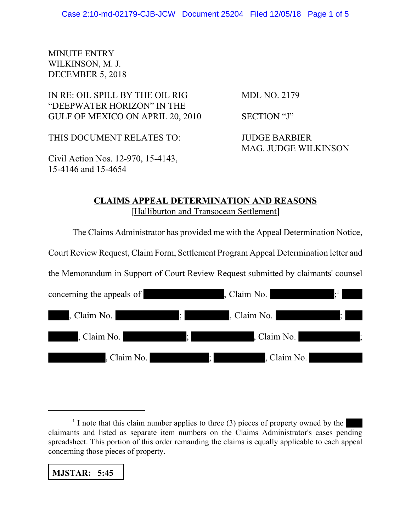MINUTE ENTRY WILKINSON, M. J. DECEMBER 5, 2018

IN RE: OIL SPILL BY THE OIL RIG MDL NO. 2179 "DEEPWATER HORIZON" IN THE GULF OF MEXICO ON APRIL 20, 2010 SECTION "J"

THIS DOCUMENT RELATES TO: JUDGE BARBIER

Civil Action Nos. 12-970, 15-4143, 15-4146 and 15-4654

MAG. JUDGE WILKINSON

## **CLAIMS APPEAL DETERMINATION AND REASONS** [Halliburton and Transocean Settlement]

The Claims Administrator has provided me with the Appeal Determination Notice,

Court Review Request, Claim Form, Settlement Program Appeal Determination letter and

the Memorandum in Support of Court Review Request submitted by claimants' counsel

| concerning the appeals of                                                                                                            |                             | , Claim No.<br><u> Album a Tar</u>                                                                                                                                                                                                                  |                                         |
|--------------------------------------------------------------------------------------------------------------------------------------|-----------------------------|-----------------------------------------------------------------------------------------------------------------------------------------------------------------------------------------------------------------------------------------------------|-----------------------------------------|
| Claim No.                                                                                                                            | $\ddot{\phantom{a}}$        | , Claim No.                                                                                                                                                                                                                                         | K.                                      |
| , Claim No.<br><u> La Carlo de la Carlo de la Carlo de la Carlo de la Carlo de la Carlo de la Carlo de la Carlo de la Carlo de l</u> | Ŀ.                          | , Claim No.<br><u> Andrew State State State State State State State State State State State State State State State State State State State State State State State State State State State State State State State State State State State Sta</u> | $\begin{array}{ccc} \hline \end{array}$ |
| , Claim No.                                                                                                                          | <u> Tanzania (h. 1888).</u> | , Claim No.                                                                                                                                                                                                                                         |                                         |

**MJSTAR: 5:45**

 $<sup>1</sup>$  I note that this claim number applies to three (3) pieces of property owned by the</sup> claimants and listed as separate item numbers on the Claims Administrator's cases pending spreadsheet. This portion of this order remanding the claims is equally applicable to each appeal concerning those pieces of property.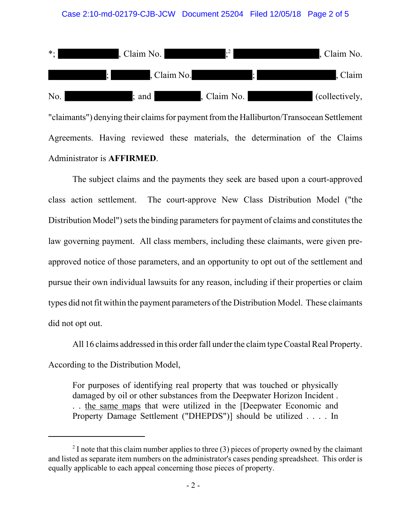

## Administrator is **AFFIRMED**.

The subject claims and the payments they seek are based upon a court-approved class action settlement. The court-approve New Class Distribution Model ("the Distribution Model") sets the binding parameters for payment of claims and constitutes the law governing payment. All class members, including these claimants, were given preapproved notice of those parameters, and an opportunity to opt out of the settlement and pursue their own individual lawsuits for any reason, including if their properties or claim types did not fit within the payment parameters of the Distribution Model. These claimants did not opt out.

All 16 claims addressed in this order fall under the claim type Coastal Real Property. According to the Distribution Model,

For purposes of identifying real property that was touched or physically damaged by oil or other substances from the Deepwater Horizon Incident . . . the same maps that were utilized in the [Deepwater Economic and Property Damage Settlement ("DHEPDS")] should be utilized . . . . In

 $2<sup>2</sup>$  I note that this claim number applies to three (3) pieces of property owned by the claimant and listed as separate item numbers on the administrator's cases pending spreadsheet. This order is equally applicable to each appeal concerning those pieces of property.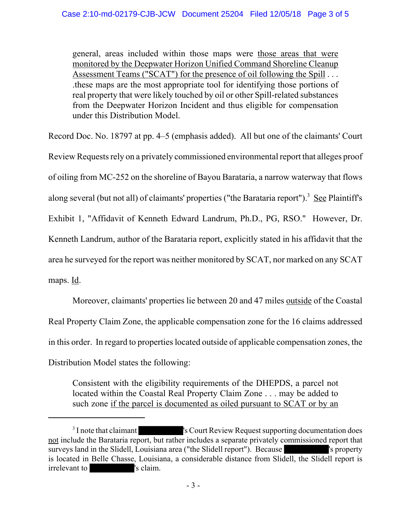general, areas included within those maps were those areas that were monitored by the Deepwater Horizon Unified Command Shoreline Cleanup Assessment Teams ("SCAT") for the presence of oil following the Spill . . . .these maps are the most appropriate tool for identifying those portions of real property that were likely touched by oil or other Spill-related substances from the Deepwater Horizon Incident and thus eligible for compensation under this Distribution Model.

Record Doc. No. 18797 at pp. 4–5 (emphasis added). All but one of the claimants' Court

Review Requests rely on a privately commissioned environmental report that alleges proof

of oiling from MC-252 on the shoreline of Bayou Barataria, a narrow waterway that flows

along several (but not all) of claimants' properties ("the Barataria report").<sup>3</sup> See Plaintiff's

Exhibit 1, "Affidavit of Kenneth Edward Landrum, Ph.D., PG, RSO." However, Dr.

Kenneth Landrum, author of the Barataria report, explicitly stated in his affidavit that the

area he surveyed for the report was neither monitored by SCAT, nor marked on any SCAT

maps. Id.

Moreover, claimants' properties lie between 20 and 47 miles outside of the Coastal Real Property Claim Zone, the applicable compensation zone for the 16 claims addressed in this order. In regard to properties located outside of applicable compensation zones, the Distribution Model states the following:

Consistent with the eligibility requirements of the DHEPDS, a parcel not located within the Coastal Real Property Claim Zone . . . may be added to such zone if the parcel is documented as oiled pursuant to SCAT or by an

<sup>&</sup>lt;sup>3</sup> I note that claimant 's Court Review Request supporting documentation does not include the Barataria report, but rather includes a separate privately commissioned report that surveys land in the Slidell, Louisiana area ("the Slidell report"). Because 's property is located in Belle Chasse, Louisiana, a considerable distance from Slidell, the Slidell report is irrelevant to 's claim.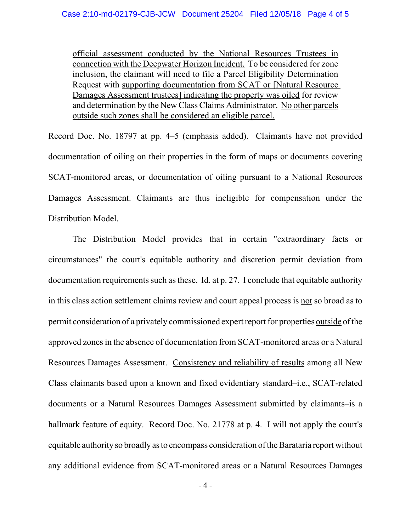official assessment conducted by the National Resources Trustees in connection with the Deepwater Horizon Incident. To be considered for zone inclusion, the claimant will need to file a Parcel Eligibility Determination Request with supporting documentation from SCAT or [Natural Resource Damages Assessment trustees] indicating the property was oiled for review and determination by the New Class Claims Administrator. No other parcels outside such zones shall be considered an eligible parcel.

Record Doc. No. 18797 at pp. 4–5 (emphasis added). Claimants have not provided documentation of oiling on their properties in the form of maps or documents covering SCAT-monitored areas, or documentation of oiling pursuant to a National Resources Damages Assessment. Claimants are thus ineligible for compensation under the Distribution Model.

The Distribution Model provides that in certain "extraordinary facts or circumstances" the court's equitable authority and discretion permit deviation from documentation requirements such as these. Id. at p. 27. I conclude that equitable authority in this class action settlement claims review and court appeal process is not so broad as to permit consideration of a privately commissioned expert report for properties outside of the approved zones in the absence of documentation from SCAT-monitored areas or a Natural Resources Damages Assessment. Consistency and reliability of results among all New Class claimants based upon a known and fixed evidentiary standard–i.e., SCAT-related documents or a Natural Resources Damages Assessment submitted by claimants–is a hallmark feature of equity. Record Doc. No. 21778 at p. 4. I will not apply the court's equitable authority so broadly as to encompass consideration of the Barataria report without any additional evidence from SCAT-monitored areas or a Natural Resources Damages